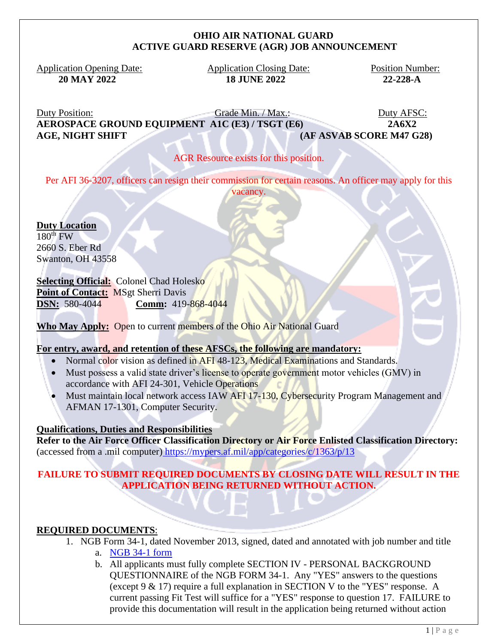#### **OHIO AIR NATIONAL GUARD ACTIVE GUARD RESERVE (AGR) JOB ANNOUNCEMENT**

Application Opening Date: Application Closing Date: Position Number:

 **20 MAY 2022 18 JUNE 2022 22-228-A**

Duty Position: Grade Min. / Max.: Duty AFSC: **AEROSPACE GROUND EQUIPMENT A1C (E3) / TSGT (E6) 2A6X2 AGE, NIGHT SHIFT (AF ASVAB SCORE M47 G28)**

### AGR Resource exists for this position.

Per AFI 36-3207, officers can resign their commission for certain reasons. An officer may apply for this vacancy.

**Duty Location**  $180<sup>th</sup>$  FW 2660 S. Eber Rd Swanton, OH 43558

### **Selecting Official:** Colonel Chad Holesko

Point of Contact: MSgt Sherri Davis **DSN:** 580-4044 **Comm:** 419-868-4044

**Who May Apply:** Open to current members of the Ohio Air National Guard

### **For entry, award, and retention of these AFSCs, the following are mandatory:**

- Normal color vision as defined in AFI 48-123, Medical Examinations and Standards.
- Must possess a valid state driver's license to operate government motor vehicles (GMV) in accordance with AFI 24-301, Vehicle Operations
- Must maintain local network access IAW AFI 17-130, Cybersecurity Program Management and AFMAN 17-1301, Computer Security.

### **Qualifications, Duties and Responsibilities**

**Refer to the Air Force Officer Classification Directory or Air Force Enlisted Classification Directory:** (accessed from a .mil computer) <https://mypers.af.mil/app/categories/c/1363/p/13>

## **FAILURE TO SUBMIT REQUIRED DOCUMENTS BY CLOSING DATE WILL RESULT IN THE APPLICATION BEING RETURNED WITHOUT ACTION.**

### **REQUIRED DOCUMENTS**:

- 1. NGB Form 34-1, dated November 2013, signed, dated and annotated with job number and title
	- a. [NGB 34-1 form](file:///C:/Users/bethany.d.tronafarle/Desktop/NGB%2034-1.pdf)
	- b. All applicants must fully complete SECTION IV PERSONAL BACKGROUND QUESTIONNAIRE of the NGB FORM 34-1. Any "YES" answers to the questions (except 9 & 17) require a full explanation in SECTION V to the "YES" response. A current passing Fit Test will suffice for a "YES" response to question 17. FAILURE to provide this documentation will result in the application being returned without action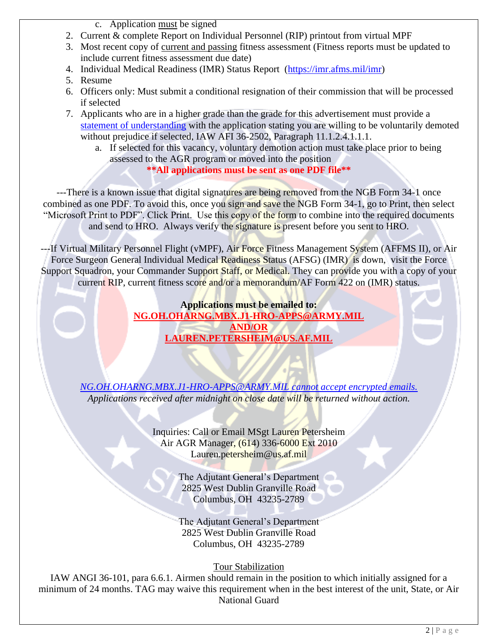- c. Application must be signed
- 2. Current & complete Report on Individual Personnel (RIP) printout from virtual MPF
- 3. Most recent copy of current and passing fitness assessment (Fitness reports must be updated to include current fitness assessment due date)
- 4. Individual Medical Readiness (IMR) Status Report [\(https://imr.afms.mil/imr\)](https://imr.afms.mil/imr)
- 5. Resume
- 6. Officers only: Must submit a conditional resignation of their commission that will be processed if selected
- 7. Applicants who are in a higher grade than the grade for this advertisement must provide a [statement of understanding](file://///ng/ngohfs/Unit-Folders/DIRECTORATES/HRO/AGR_NR/Air%20AGR%20(Ms%20Trona-Farler)/AGR%20References/Air%20Force%20Forms/Voluntary%20Reduction%20in%20Grade.pdf) with the application stating you are willing to be voluntarily demoted without prejudice if selected, IAW AFI 36-2502, Paragraph 11.1.2.4.1.1.1.
	- a. If selected for this vacancy, voluntary demotion action must take place prior to being assessed to the AGR program or moved into the position

# **\*\*All applications must be sent as one PDF file\*\***

---There is a known issue that digital signatures are being removed from the NGB Form 34-1 once combined as one PDF. To avoid this, once you sign and save the NGB Form 34-1, go to Print, then select "Microsoft Print to PDF". Click Print. Use this copy of the form to combine into the required documents and send to HRO. Always verify the signature is present before you sent to HRO.

---If Virtual Military Personnel Flight (vMPF), Air Force Fitness Management System (AFFMS II), or Air Force Surgeon General Individual Medical Readiness Status (AFSG) (IMR) is down, visit the Force Support Squadron, your Commander Support Staff, or Medical. They can provide you with a copy of your current RIP, current fitness score and/or a memorandum/AF Form 422 on (IMR) status.

> **Applications must be emailed to: [NG.OH.OHARNG.MBX.J1-HRO-APPS@ARMY.MIL](mailto:NG.OH.OHARNG.MBX.J1-HRO-APPS@ARMY.MIL) AND/OR LAUREN.PETERSHEIM@US.AF.MIL**

*[NG.OH.OHARNG.MBX.J1-HRO-APPS@ARMY.MIL](mailto:NG.OH.OHARNG.MBX.J1-HRO-APPS@ARMY.MIL) cannot accept encrypted emails. Applications received after midnight on close date will be returned without action.*

> Inquiries: Call or Email MSgt Lauren Petersheim Air AGR Manager, (614) 336-6000 Ext 2010 Lauren.petersheim@us.af.mil

> > The Adjutant General's Department 2825 West Dublin Granville Road Columbus, OH 43235-2789

The Adjutant General's Department 2825 West Dublin Granville Road Columbus, OH 43235-2789

Tour Stabilization

IAW ANGI 36-101, para 6.6.1. Airmen should remain in the position to which initially assigned for a minimum of 24 months. TAG may waive this requirement when in the best interest of the unit, State, or Air National Guard